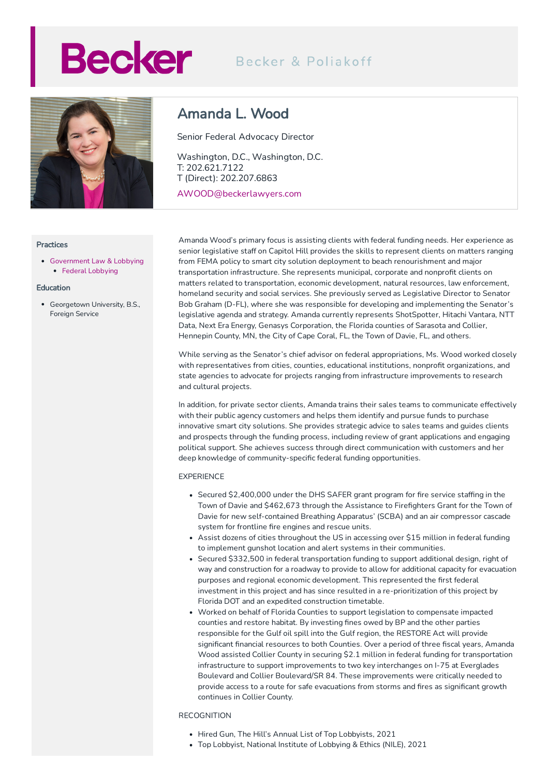# **Becker**

## Becker & Poliakoff



### **Practices**

[Government](https://beckerlawyers.com/practices/government-law-lobbying/) Law & Lobbying • Federal [Lobbying](https://beckerlawyers.com/practices/federal-lobbying/)

## Education

Georgetown University, B.S., Foreign Service

## Amanda L. Wood

Senior Federal Advocacy Director

Washington, D.C., Washington, D.C. T: 202.621.7122 T (Direct): 202.207.6863

AWOOD@beckerlawyers.com

Amanda Wood's primary focus is assisting clients with federal funding needs. Her experience as senior legislative staff on Capitol Hill provides the skills to represent clients on matters ranging from FEMA policy to smart city solution deployment to beach renourishment and major transportation infrastructure. She represents municipal, corporate and nonprofit clients on matters related to transportation, economic development, natural resources, law enforcement, homeland security and social services. She previously served as Legislative Director to Senator Bob Graham (D-FL), where she was responsible for developing and implementing the Senator's legislative agenda and strategy. Amanda currently represents ShotSpotter, Hitachi Vantara, NTT Data, Next Era Energy, Genasys Corporation, the Florida counties of Sarasota and Collier, Hennepin County, MN, the City of Cape Coral, FL, the Town of Davie, FL, and others.

While serving as the Senator's chief advisor on federal appropriations, Ms. Wood worked closely with representatives from cities, counties, educational institutions, nonprofit organizations, and state agencies to advocate for projects ranging from infrastructure improvements to research and cultural projects.

In addition, for private sector clients, Amanda trains their sales teams to communicate effectively with their public agency customers and helps them identify and pursue funds to purchase innovative smart city solutions. She provides strategic advice to sales teams and guides clients and prospects through the funding process, including review of grant applications and engaging political support. She achieves success through direct communication with customers and her deep knowledge of community-specific federal funding opportunities.

## EXPERIENCE

- Secured \$2,400,000 under the DHS SAFER grant program for fire service staffing in the Town of Davie and \$462,673 through the Assistance to Firefighters Grant for the Town of Davie for new self-contained Breathing Apparatus' (SCBA) and an air compressor cascade system for frontline fire engines and rescue units.
- Assist dozens of cities throughout the US in accessing over \$15 million in federal funding to implement gunshot location and alert systems in their communities.
- Secured \$332,500 in federal transportation funding to support additional design, right of way and construction for a roadway to provide to allow for additional capacity for evacuation purposes and regional economic development. This represented the first federal investment in this project and has since resulted in a re-prioritization of this project by Florida DOT and an expedited construction timetable.
- Worked on behalf of Florida Counties to support legislation to compensate impacted counties and restore habitat. By investing fines owed by BP and the other parties responsible for the Gulf oil spill into the Gulf region, the RESTORE Act will provide significant financial resources to both Counties. Over a period of three fiscal years, Amanda Wood assisted Collier County in securing \$2.1 million in federal funding for transportation infrastructure to support improvements to two key interchanges on I-75 at Everglades Boulevard and Collier Boulevard/SR 84. These improvements were critically needed to provide access to a route for safe evacuations from storms and fires as significant growth continues in Collier County.

### RECOGNITION

- Hired Gun, The Hill's Annual List of Top Lobbyists, 2021
- Top Lobbyist, National Institute of Lobbying & Ethics (NILE), 2021